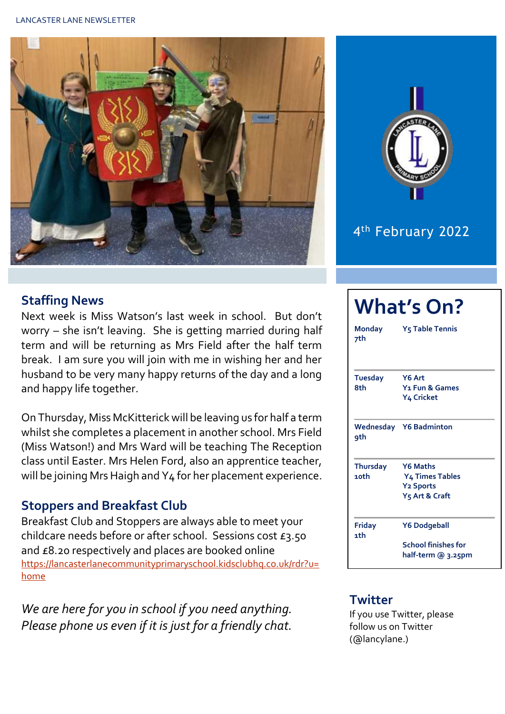



## 4<sup>th</sup> February 2022

#### **Staffing News**

Next week is Miss Watson's last week in school. But don't worry – she isn't leaving. She is getting married during half term and will be returning as Mrs Field after the half term break. I am sure you will join with me in wishing her and her husband to be very many happy returns of the day and a long and happy life together.

On Thursday, Miss McKitterick will be leaving us for half a term whilst she completes a placement in another school. Mrs Field (Miss Watson!) and Mrs Ward will be teaching The Reception class until Easter. Mrs Helen Ford, also an apprentice teacher, will be joining Mrs Haigh and Y4 for her placement experience.

### **Stoppers and Breakfast Club**

Breakfast Club and Stoppers are always able to meet your childcare needs before or after school. Sessions cost £3.50 and £8.20 respectively and places are booked online [https://lancasterlanecommunityprimaryschool.kidsclubhq.co.uk/rdr?u=](https://lancasterlanecommunityprimaryschool.kidsclubhq.co.uk/rdr?u=home) [home](https://lancasterlanecommunityprimaryschool.kidsclubhq.co.uk/rdr?u=home)

*We are here for you in school if you need anything. Please phone us even if it is just for a friendly chat.* 

| <b>What's On?</b>       |                                                                                                  |  |  |  |  |
|-------------------------|--------------------------------------------------------------------------------------------------|--|--|--|--|
| Monday<br>7th           | Y <sub>5</sub> Table Tennis                                                                      |  |  |  |  |
| <b>Tuesday</b><br>8th   | Y6 Art<br>Y <sub>1</sub> Fun & Games<br>Y4 Cricket                                               |  |  |  |  |
| qth                     | <b>Wednesday Y6 Badminton</b>                                                                    |  |  |  |  |
| <b>Thursday</b><br>10th | <b>Y6 Maths</b><br>Y <sub>4</sub> Times Tables<br><b>Y2 Sports</b><br>Y <sub>5</sub> Art & Craft |  |  |  |  |
| <b>Friday</b><br>1th    | <b>Y6 Dodgeball</b><br><b>School finishes for</b><br>half-term @ 3.25pm                          |  |  |  |  |

#### **Twitter**

If you use Twitter, please follow us on Twitter (@lancylane.)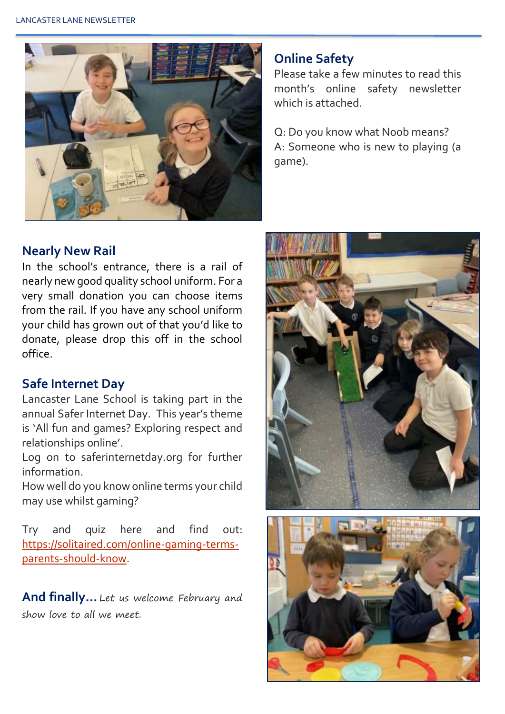

#### **Online Safety**

Please take a few minutes to read this month's online safety newsletter which is attached.

Q: Do you know what Noob means? A: Someone who is new to playing (a game).

#### **Nearly New Rail**

In the school's entrance, there is a rail of nearly new good quality school uniform. For a very small donation you can choose items from the rail. If you have any school uniform your child has grown out of that you'd like to donate, please drop this off in the school office.

#### **Safe Internet Day**

Lancaster Lane School is taking part in the annual Safer Internet Day. This year's theme is 'All fun and games? Exploring respect and relationships online'.

Log on to saferinternetday.org for further information.

How well do you know online terms your child may use whilst gaming?

Try and quiz here and find out: [https://solitaired.com/online-gaming-terms](https://solitaired.com/online-gaming-terms-parents-should-know)[parents-should-know.](https://solitaired.com/online-gaming-terms-parents-should-know)

**And finally…** Let us welcome February and show love to all we meet.